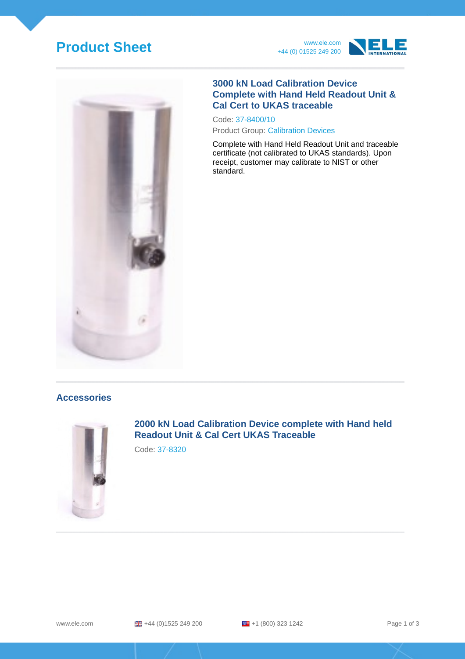# **Product Sheet** www.ele.com





#### **3000 kN Load Calibration Device Complete with Hand Held Readout Unit & Cal Cert to UKAS traceable**

Code: 37-8400/10 Product Group: Calibration Devices

Complete with Hand Held Readout Unit and traceable certificate (not calibrated to UKAS standards). Upon receipt, customer may calibrate to NIST or other standard.

#### **Accessories**



**2000 kN Load Calibration Device complete with Hand held Readout Unit & Cal Cert UKAS Traceable**

Code: 37-8320

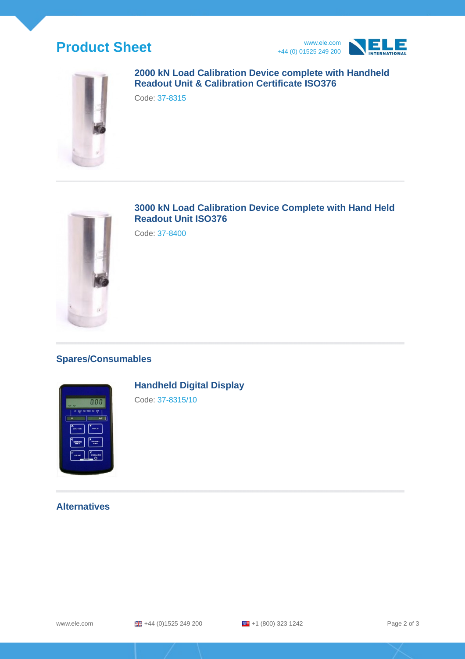## **Product Sheet** www.ele.com





#### **2000 kN Load Calibration Device complete with Handheld Readout Unit & Calibration Certificate ISO376**

Code: 37-8315



### **3000 kN Load Calibration Device Complete with Hand Held Readout Unit ISO376**

Code: 37-8400

### **Spares/Consumables**



### **Handheld Digital Display**

Code: 37-8315/10

#### **Alternatives**